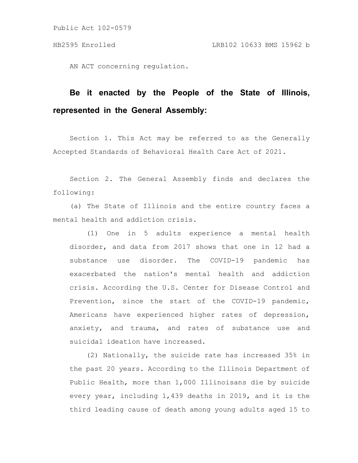AN ACT concerning regulation.

# **Be it enacted by the People of the State of Illinois, represented in the General Assembly:**

Section 1. This Act may be referred to as the Generally Accepted Standards of Behavioral Health Care Act of 2021.

Section 2. The General Assembly finds and declares the following:

(a) The State of Illinois and the entire country faces a mental health and addiction crisis.

(1) One in 5 adults experience a mental health disorder, and data from 2017 shows that one in 12 had a substance use disorder. The COVID-19 pandemic has exacerbated the nation's mental health and addiction crisis. According the U.S. Center for Disease Control and Prevention, since the start of the COVID-19 pandemic, Americans have experienced higher rates of depression, anxiety, and trauma, and rates of substance use and suicidal ideation have increased.

(2) Nationally, the suicide rate has increased 35% in the past 20 years. According to the Illinois Department of Public Health, more than 1,000 Illinoisans die by suicide every year, including 1,439 deaths in 2019, and it is the third leading cause of death among young adults aged 15 to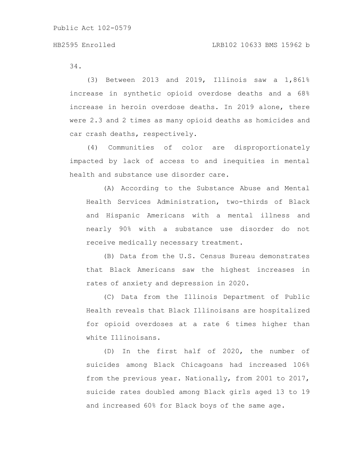34.

(3) Between 2013 and 2019, Illinois saw a 1,861% increase in synthetic opioid overdose deaths and a 68% increase in heroin overdose deaths. In 2019 alone, there were 2.3 and 2 times as many opioid deaths as homicides and car crash deaths, respectively.

(4) Communities of color are disproportionately impacted by lack of access to and inequities in mental health and substance use disorder care.

(A) According to the Substance Abuse and Mental Health Services Administration, two-thirds of Black and Hispanic Americans with a mental illness and nearly 90% with a substance use disorder do not receive medically necessary treatment.

(B) Data from the U.S. Census Bureau demonstrates that Black Americans saw the highest increases in rates of anxiety and depression in 2020.

(C) Data from the Illinois Department of Public Health reveals that Black Illinoisans are hospitalized for opioid overdoses at a rate 6 times higher than white Illinoisans.

(D) In the first half of 2020, the number of suicides among Black Chicagoans had increased 106% from the previous year. Nationally, from 2001 to 2017, suicide rates doubled among Black girls aged 13 to 19 and increased 60% for Black boys of the same age.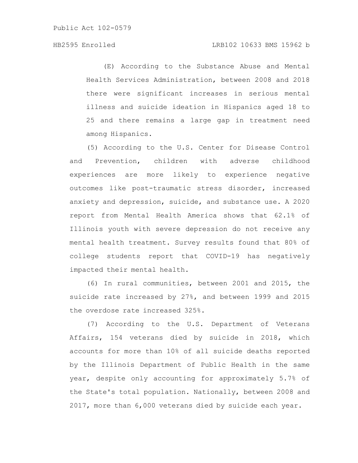# HB2595 Enrolled LRB102 10633 BMS 15962 b

(E) According to the Substance Abuse and Mental Health Services Administration, between 2008 and 2018 there were significant increases in serious mental illness and suicide ideation in Hispanics aged 18 to 25 and there remains a large gap in treatment need among Hispanics.

(5) According to the U.S. Center for Disease Control and Prevention, children with adverse childhood experiences are more likely to experience negative outcomes like post-traumatic stress disorder, increased anxiety and depression, suicide, and substance use. A 2020 report from Mental Health America shows that 62.1% of Illinois youth with severe depression do not receive any mental health treatment. Survey results found that 80% of college students report that COVID-19 has negatively impacted their mental health.

(6) In rural communities, between 2001 and 2015, the suicide rate increased by 27%, and between 1999 and 2015 the overdose rate increased 325%.

(7) According to the U.S. Department of Veterans Affairs, 154 veterans died by suicide in 2018, which accounts for more than 10% of all suicide deaths reported by the Illinois Department of Public Health in the same year, despite only accounting for approximately 5.7% of the State's total population. Nationally, between 2008 and 2017, more than 6,000 veterans died by suicide each year.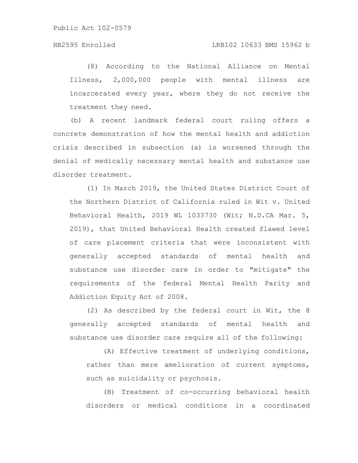(8) According to the National Alliance on Mental Illness, 2,000,000 people with mental illness are incarcerated every year, where they do not receive the treatment they need.

(b) A recent landmark federal court ruling offers a concrete demonstration of how the mental health and addiction crisis described in subsection (a) is worsened through the denial of medically necessary mental health and substance use disorder treatment.

(1) In March 2019, the United States District Court of the Northern District of California ruled in Wit v. United Behavioral Health, 2019 WL 1033730 (Wit; N.D.CA Mar. 5, 2019), that United Behavioral Health created flawed level of care placement criteria that were inconsistent with generally accepted standards of mental health and substance use disorder care in order to "mitigate" the requirements of the federal Mental Health Parity and Addiction Equity Act of 2008.

(2) As described by the federal court in Wit, the 8 generally accepted standards of mental health and substance use disorder care require all of the following:

(A) Effective treatment of underlying conditions, rather than mere amelioration of current symptoms, such as suicidality or psychosis.

(B) Treatment of co-occurring behavioral health disorders or medical conditions in a coordinated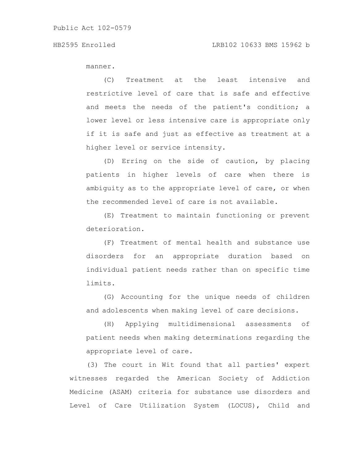manner.

(C) Treatment at the least intensive and restrictive level of care that is safe and effective and meets the needs of the patient's condition; a lower level or less intensive care is appropriate only if it is safe and just as effective as treatment at a higher level or service intensity.

(D) Erring on the side of caution, by placing patients in higher levels of care when there is ambiguity as to the appropriate level of care, or when the recommended level of care is not available.

(E) Treatment to maintain functioning or prevent deterioration.

(F) Treatment of mental health and substance use disorders for an appropriate duration based on individual patient needs rather than on specific time limits.

(G) Accounting for the unique needs of children and adolescents when making level of care decisions.

(H) Applying multidimensional assessments of patient needs when making determinations regarding the appropriate level of care.

(3) The court in Wit found that all parties' expert witnesses regarded the American Society of Addiction Medicine (ASAM) criteria for substance use disorders and Level of Care Utilization System (LOCUS), Child and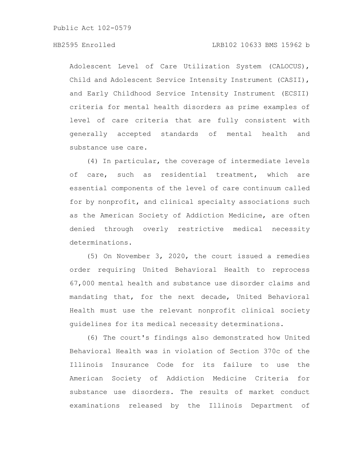Adolescent Level of Care Utilization System (CALOCUS), Child and Adolescent Service Intensity Instrument (CASII), and Early Childhood Service Intensity Instrument (ECSII) criteria for mental health disorders as prime examples of level of care criteria that are fully consistent with generally accepted standards of mental health and substance use care.

(4) In particular, the coverage of intermediate levels of care, such as residential treatment, which are essential components of the level of care continuum called for by nonprofit, and clinical specialty associations such as the American Society of Addiction Medicine, are often denied through overly restrictive medical necessity determinations.

(5) On November 3, 2020, the court issued a remedies order requiring United Behavioral Health to reprocess 67,000 mental health and substance use disorder claims and mandating that, for the next decade, United Behavioral Health must use the relevant nonprofit clinical society guidelines for its medical necessity determinations.

(6) The court's findings also demonstrated how United Behavioral Health was in violation of Section 370c of the Illinois Insurance Code for its failure to use the American Society of Addiction Medicine Criteria for substance use disorders. The results of market conduct examinations released by the Illinois Department of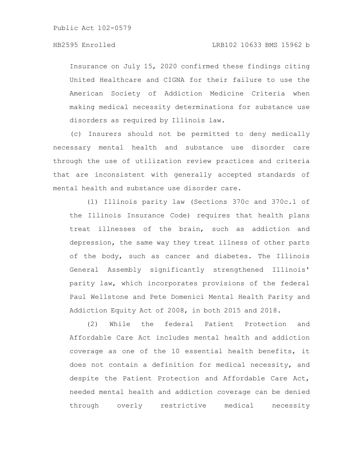Insurance on July 15, 2020 confirmed these findings citing United Healthcare and CIGNA for their failure to use the American Society of Addiction Medicine Criteria when making medical necessity determinations for substance use disorders as required by Illinois law.

(c) Insurers should not be permitted to deny medically necessary mental health and substance use disorder care through the use of utilization review practices and criteria that are inconsistent with generally accepted standards of mental health and substance use disorder care.

(1) Illinois parity law (Sections 370c and 370c.1 of the Illinois Insurance Code) requires that health plans treat illnesses of the brain, such as addiction and depression, the same way they treat illness of other parts of the body, such as cancer and diabetes. The Illinois General Assembly significantly strengthened Illinois' parity law, which incorporates provisions of the federal Paul Wellstone and Pete Domenici Mental Health Parity and Addiction Equity Act of 2008, in both 2015 and 2018.

(2) While the federal Patient Protection and Affordable Care Act includes mental health and addiction coverage as one of the 10 essential health benefits, it does not contain a definition for medical necessity, and despite the Patient Protection and Affordable Care Act, needed mental health and addiction coverage can be denied through overly restrictive medical necessity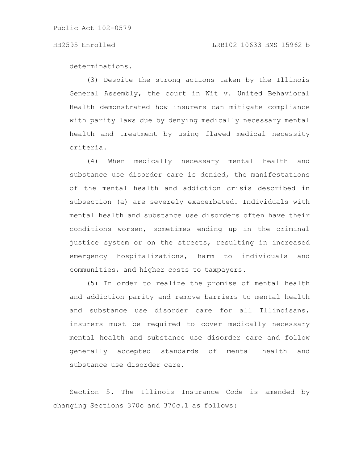### HB2595 Enrolled LRB102 10633 BMS 15962 b

determinations.

(3) Despite the strong actions taken by the Illinois General Assembly, the court in Wit v. United Behavioral Health demonstrated how insurers can mitigate compliance with parity laws due by denying medically necessary mental health and treatment by using flawed medical necessity criteria.

(4) When medically necessary mental health and substance use disorder care is denied, the manifestations of the mental health and addiction crisis described in subsection (a) are severely exacerbated. Individuals with mental health and substance use disorders often have their conditions worsen, sometimes ending up in the criminal justice system or on the streets, resulting in increased emergency hospitalizations, harm to individuals and communities, and higher costs to taxpayers.

(5) In order to realize the promise of mental health and addiction parity and remove barriers to mental health and substance use disorder care for all Illinoisans, insurers must be required to cover medically necessary mental health and substance use disorder care and follow generally accepted standards of mental health and substance use disorder care.

Section 5. The Illinois Insurance Code is amended by changing Sections 370c and 370c.1 as follows: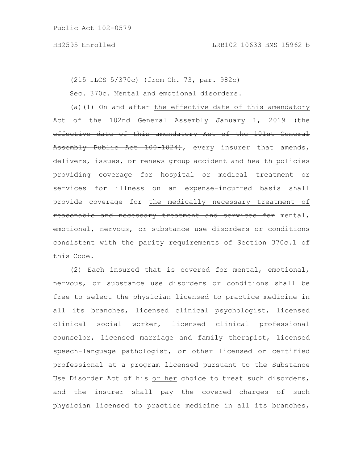(215 ILCS 5/370c) (from Ch. 73, par. 982c)

Sec. 370c. Mental and emotional disorders.

(a)(1) On and after the effective date of this amendatory Act of the 102nd General Assembly January 1, 2019 (the effective date of this amendatory Act of the 101st General Assembly Public Act 100-1024), every insurer that amends, delivers, issues, or renews group accident and health policies providing coverage for hospital or medical treatment or services for illness on an expense-incurred basis shall provide coverage for the medically necessary treatment of reasonable and necessary treatment and services for mental, emotional, nervous, or substance use disorders or conditions consistent with the parity requirements of Section 370c.1 of this Code.

(2) Each insured that is covered for mental, emotional, nervous, or substance use disorders or conditions shall be free to select the physician licensed to practice medicine in all its branches, licensed clinical psychologist, licensed clinical social worker, licensed clinical professional counselor, licensed marriage and family therapist, licensed speech-language pathologist, or other licensed or certified professional at a program licensed pursuant to the Substance Use Disorder Act of his or her choice to treat such disorders, and the insurer shall pay the covered charges of such physician licensed to practice medicine in all its branches,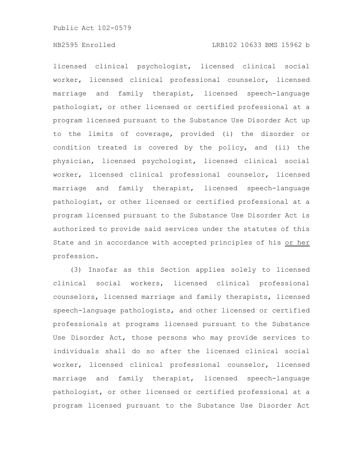# HB2595 Enrolled LRB102 10633 BMS 15962 b

licensed clinical psychologist, licensed clinical social worker, licensed clinical professional counselor, licensed marriage and family therapist, licensed speech-language pathologist, or other licensed or certified professional at a program licensed pursuant to the Substance Use Disorder Act up to the limits of coverage, provided (i) the disorder or condition treated is covered by the policy, and (ii) the physician, licensed psychologist, licensed clinical social worker, licensed clinical professional counselor, licensed marriage and family therapist, licensed speech-language pathologist, or other licensed or certified professional at a program licensed pursuant to the Substance Use Disorder Act is authorized to provide said services under the statutes of this State and in accordance with accepted principles of his or her profession.

(3) Insofar as this Section applies solely to licensed clinical social workers, licensed clinical professional counselors, licensed marriage and family therapists, licensed speech-language pathologists, and other licensed or certified professionals at programs licensed pursuant to the Substance Use Disorder Act, those persons who may provide services to individuals shall do so after the licensed clinical social worker, licensed clinical professional counselor, licensed marriage and family therapist, licensed speech-language pathologist, or other licensed or certified professional at a program licensed pursuant to the Substance Use Disorder Act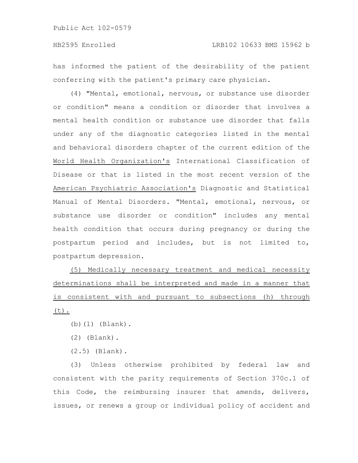has informed the patient of the desirability of the patient conferring with the patient's primary care physician.

(4) "Mental, emotional, nervous, or substance use disorder or condition" means a condition or disorder that involves a mental health condition or substance use disorder that falls under any of the diagnostic categories listed in the mental and behavioral disorders chapter of the current edition of the World Health Organization's International Classification of Disease or that is listed in the most recent version of the American Psychiatric Association's Diagnostic and Statistical Manual of Mental Disorders. "Mental, emotional, nervous, or substance use disorder or condition" includes any mental health condition that occurs during pregnancy or during the postpartum period and includes, but is not limited to, postpartum depression.

(5) Medically necessary treatment and medical necessity determinations shall be interpreted and made in a manner that is consistent with and pursuant to subsections (h) through (t).

- (b)(1) (Blank).
- (2) (Blank).
- (2.5) (Blank).

(3) Unless otherwise prohibited by federal law and consistent with the parity requirements of Section 370c.1 of this Code, the reimbursing insurer that amends, delivers, issues, or renews a group or individual policy of accident and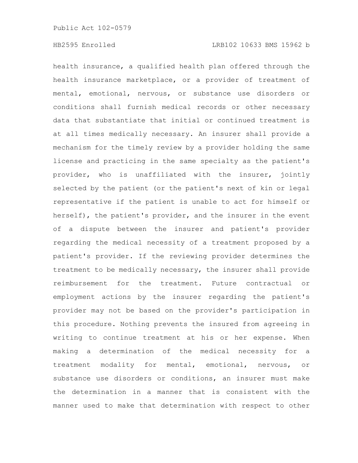health insurance, a qualified health plan offered through the health insurance marketplace, or a provider of treatment of mental, emotional, nervous, or substance use disorders or conditions shall furnish medical records or other necessary data that substantiate that initial or continued treatment is at all times medically necessary. An insurer shall provide a mechanism for the timely review by a provider holding the same license and practicing in the same specialty as the patient's provider, who is unaffiliated with the insurer, jointly selected by the patient (or the patient's next of kin or legal representative if the patient is unable to act for himself or herself), the patient's provider, and the insurer in the event of a dispute between the insurer and patient's provider regarding the medical necessity of a treatment proposed by a patient's provider. If the reviewing provider determines the treatment to be medically necessary, the insurer shall provide reimbursement for the treatment. Future contractual or employment actions by the insurer regarding the patient's provider may not be based on the provider's participation in this procedure. Nothing prevents the insured from agreeing in writing to continue treatment at his or her expense. When making a determination of the medical necessity for a treatment modality for mental, emotional, nervous, or substance use disorders or conditions, an insurer must make the determination in a manner that is consistent with the manner used to make that determination with respect to other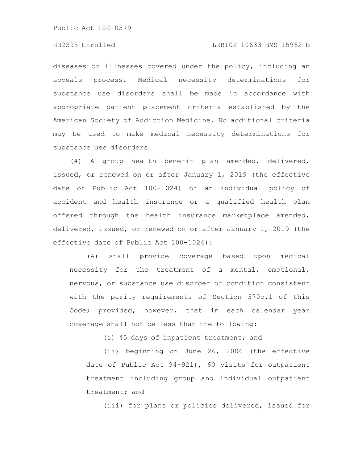# HB2595 Enrolled LRB102 10633 BMS 15962 b

diseases or illnesses covered under the policy, including an appeals process. Medical necessity determinations for substance use disorders shall be made in accordance with appropriate patient placement criteria established by the American Society of Addiction Medicine. No additional criteria may be used to make medical necessity determinations for substance use disorders.

(4) A group health benefit plan amended, delivered, issued, or renewed on or after January 1, 2019 (the effective date of Public Act 100-1024) or an individual policy of accident and health insurance or a qualified health plan offered through the health insurance marketplace amended, delivered, issued, or renewed on or after January 1, 2019 (the effective date of Public Act 100-1024):

(A) shall provide coverage based upon medical necessity for the treatment of a mental, emotional, nervous, or substance use disorder or condition consistent with the parity requirements of Section 370c.1 of this Code; provided, however, that in each calendar year coverage shall not be less than the following:

(i) 45 days of inpatient treatment; and

(ii) beginning on June 26, 2006 (the effective date of Public Act 94-921), 60 visits for outpatient treatment including group and individual outpatient treatment; and

(iii) for plans or policies delivered, issued for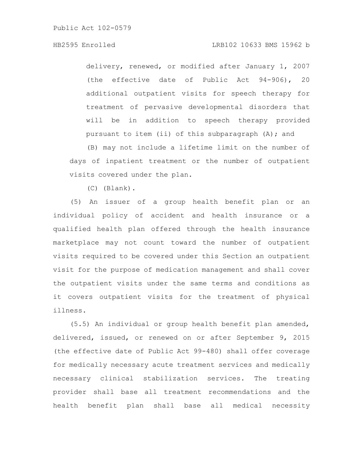# HB2595 Enrolled LRB102 10633 BMS 15962 b

delivery, renewed, or modified after January 1, 2007 (the effective date of Public Act 94-906), 20 additional outpatient visits for speech therapy for treatment of pervasive developmental disorders that will be in addition to speech therapy provided pursuant to item (ii) of this subparagraph (A); and

(B) may not include a lifetime limit on the number of days of inpatient treatment or the number of outpatient visits covered under the plan.

(C) (Blank).

(5) An issuer of a group health benefit plan or an individual policy of accident and health insurance or a qualified health plan offered through the health insurance marketplace may not count toward the number of outpatient visits required to be covered under this Section an outpatient visit for the purpose of medication management and shall cover the outpatient visits under the same terms and conditions as it covers outpatient visits for the treatment of physical illness.

(5.5) An individual or group health benefit plan amended, delivered, issued, or renewed on or after September 9, 2015 (the effective date of Public Act 99-480) shall offer coverage for medically necessary acute treatment services and medically necessary clinical stabilization services. The treating provider shall base all treatment recommendations and the health benefit plan shall base all medical necessity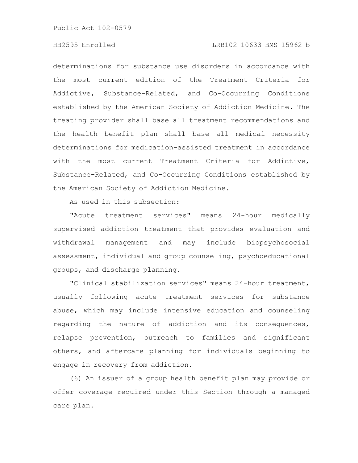# HB2595 Enrolled LRB102 10633 BMS 15962 b

determinations for substance use disorders in accordance with the most current edition of the Treatment Criteria for Addictive, Substance-Related, and Co-Occurring Conditions established by the American Society of Addiction Medicine. The treating provider shall base all treatment recommendations and the health benefit plan shall base all medical necessity determinations for medication-assisted treatment in accordance with the most current Treatment Criteria for Addictive, Substance-Related, and Co-Occurring Conditions established by the American Society of Addiction Medicine.

As used in this subsection:

"Acute treatment services" means 24-hour medically supervised addiction treatment that provides evaluation and withdrawal management and may include biopsychosocial assessment, individual and group counseling, psychoeducational groups, and discharge planning.

"Clinical stabilization services" means 24-hour treatment, usually following acute treatment services for substance abuse, which may include intensive education and counseling regarding the nature of addiction and its consequences, relapse prevention, outreach to families and significant others, and aftercare planning for individuals beginning to engage in recovery from addiction.

(6) An issuer of a group health benefit plan may provide or offer coverage required under this Section through a managed care plan.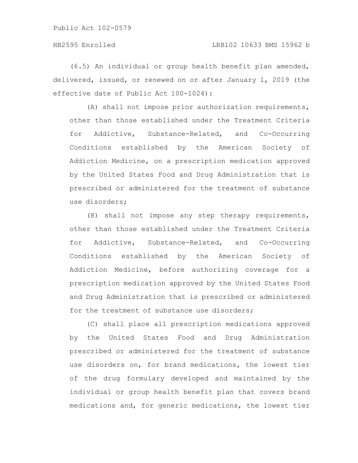(6.5) An individual or group health benefit plan amended, delivered, issued, or renewed on or after January 1, 2019 (the effective date of Public Act 100-1024):

(A) shall not impose prior authorization requirements, other than those established under the Treatment Criteria for Addictive, Substance-Related, and Co-Occurring Conditions established by the American Society of Addiction Medicine, on a prescription medication approved by the United States Food and Drug Administration that is prescribed or administered for the treatment of substance use disorders;

(B) shall not impose any step therapy requirements, other than those established under the Treatment Criteria for Addictive, Substance-Related, and Co-Occurring Conditions established by the American Society of Addiction Medicine, before authorizing coverage for a prescription medication approved by the United States Food and Drug Administration that is prescribed or administered for the treatment of substance use disorders;

(C) shall place all prescription medications approved by the United States Food and Drug Administration prescribed or administered for the treatment of substance use disorders on, for brand medications, the lowest tier of the drug formulary developed and maintained by the individual or group health benefit plan that covers brand medications and, for generic medications, the lowest tier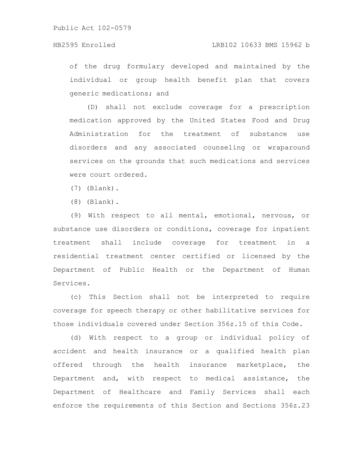of the drug formulary developed and maintained by the individual or group health benefit plan that covers generic medications; and

(D) shall not exclude coverage for a prescription medication approved by the United States Food and Drug Administration for the treatment of substance use disorders and any associated counseling or wraparound services on the grounds that such medications and services were court ordered.

(7) (Blank).

(8) (Blank).

(9) With respect to all mental, emotional, nervous, or substance use disorders or conditions, coverage for inpatient treatment shall include coverage for treatment in a residential treatment center certified or licensed by the Department of Public Health or the Department of Human Services.

(c) This Section shall not be interpreted to require coverage for speech therapy or other habilitative services for those individuals covered under Section 356z.15 of this Code.

(d) With respect to a group or individual policy of accident and health insurance or a qualified health plan offered through the health insurance marketplace, the Department and, with respect to medical assistance, the Department of Healthcare and Family Services shall each enforce the requirements of this Section and Sections 356z.23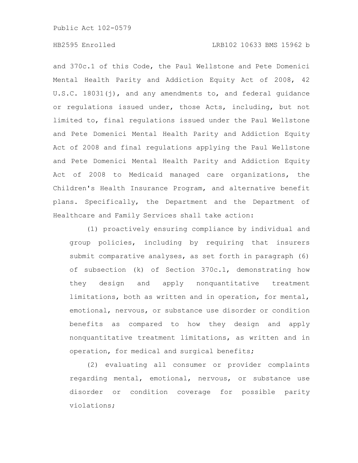# HB2595 Enrolled LRB102 10633 BMS 15962 b

and 370c.1 of this Code, the Paul Wellstone and Pete Domenici Mental Health Parity and Addiction Equity Act of 2008, 42 U.S.C. 18031(j), and any amendments to, and federal guidance or regulations issued under, those Acts, including, but not limited to, final regulations issued under the Paul Wellstone and Pete Domenici Mental Health Parity and Addiction Equity Act of 2008 and final regulations applying the Paul Wellstone and Pete Domenici Mental Health Parity and Addiction Equity Act of 2008 to Medicaid managed care organizations, the Children's Health Insurance Program, and alternative benefit plans. Specifically, the Department and the Department of Healthcare and Family Services shall take action:

(1) proactively ensuring compliance by individual and group policies, including by requiring that insurers submit comparative analyses, as set forth in paragraph (6) of subsection (k) of Section 370c.1, demonstrating how they design and apply nonquantitative treatment limitations, both as written and in operation, for mental, emotional, nervous, or substance use disorder or condition benefits as compared to how they design and apply nonquantitative treatment limitations, as written and in operation, for medical and surgical benefits;

(2) evaluating all consumer or provider complaints regarding mental, emotional, nervous, or substance use disorder or condition coverage for possible parity violations;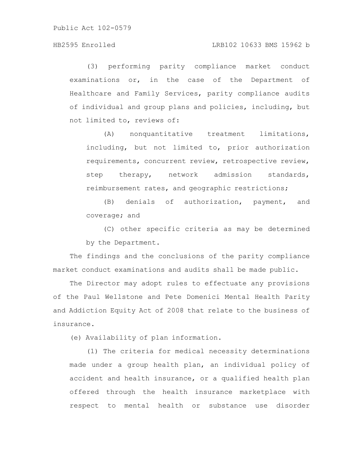### HB2595 Enrolled LRB102 10633 BMS 15962 b

(3) performing parity compliance market conduct examinations or, in the case of the Department of Healthcare and Family Services, parity compliance audits of individual and group plans and policies, including, but not limited to, reviews of:

(A) nonquantitative treatment limitations, including, but not limited to, prior authorization requirements, concurrent review, retrospective review, step therapy, network admission standards, reimbursement rates, and geographic restrictions;

(B) denials of authorization, payment, and coverage; and

(C) other specific criteria as may be determined by the Department.

The findings and the conclusions of the parity compliance market conduct examinations and audits shall be made public.

The Director may adopt rules to effectuate any provisions of the Paul Wellstone and Pete Domenici Mental Health Parity and Addiction Equity Act of 2008 that relate to the business of insurance.

(e) Availability of plan information.

(1) The criteria for medical necessity determinations made under a group health plan, an individual policy of accident and health insurance, or a qualified health plan offered through the health insurance marketplace with respect to mental health or substance use disorder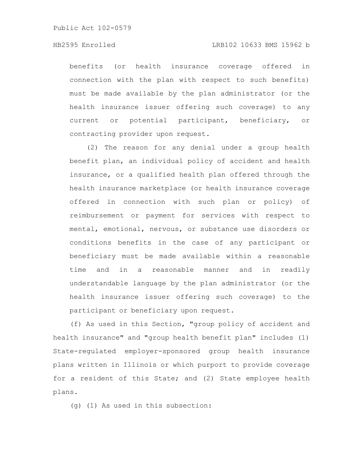# HB2595 Enrolled LRB102 10633 BMS 15962 b

benefits (or health insurance coverage offered in connection with the plan with respect to such benefits) must be made available by the plan administrator (or the health insurance issuer offering such coverage) to any current or potential participant, beneficiary, or contracting provider upon request.

(2) The reason for any denial under a group health benefit plan, an individual policy of accident and health insurance, or a qualified health plan offered through the health insurance marketplace (or health insurance coverage offered in connection with such plan or policy) of reimbursement or payment for services with respect to mental, emotional, nervous, or substance use disorders or conditions benefits in the case of any participant or beneficiary must be made available within a reasonable time and in a reasonable manner and in readily understandable language by the plan administrator (or the health insurance issuer offering such coverage) to the participant or beneficiary upon request.

(f) As used in this Section, "group policy of accident and health insurance" and "group health benefit plan" includes (1) State-regulated employer-sponsored group health insurance plans written in Illinois or which purport to provide coverage for a resident of this State; and (2) State employee health plans.

(g) (1) As used in this subsection: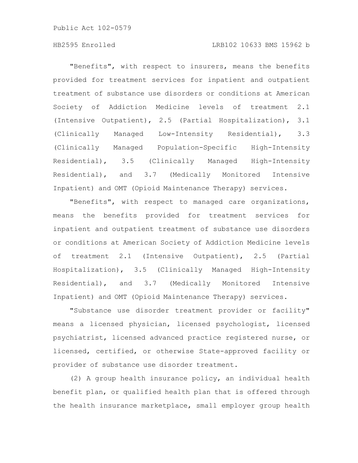# HB2595 Enrolled LRB102 10633 BMS 15962 b

"Benefits", with respect to insurers, means the benefits provided for treatment services for inpatient and outpatient treatment of substance use disorders or conditions at American Society of Addiction Medicine levels of treatment 2.1 (Intensive Outpatient), 2.5 (Partial Hospitalization), 3.1 (Clinically Managed Low-Intensity Residential), 3.3 (Clinically Managed Population-Specific High-Intensity Residential), 3.5 (Clinically Managed High-Intensity Residential), and 3.7 (Medically Monitored Intensive Inpatient) and OMT (Opioid Maintenance Therapy) services.

"Benefits", with respect to managed care organizations, means the benefits provided for treatment services for inpatient and outpatient treatment of substance use disorders or conditions at American Society of Addiction Medicine levels of treatment 2.1 (Intensive Outpatient), 2.5 (Partial Hospitalization), 3.5 (Clinically Managed High-Intensity Residential), and 3.7 (Medically Monitored Intensive Inpatient) and OMT (Opioid Maintenance Therapy) services.

"Substance use disorder treatment provider or facility" means a licensed physician, licensed psychologist, licensed psychiatrist, licensed advanced practice registered nurse, or licensed, certified, or otherwise State-approved facility or provider of substance use disorder treatment.

(2) A group health insurance policy, an individual health benefit plan, or qualified health plan that is offered through the health insurance marketplace, small employer group health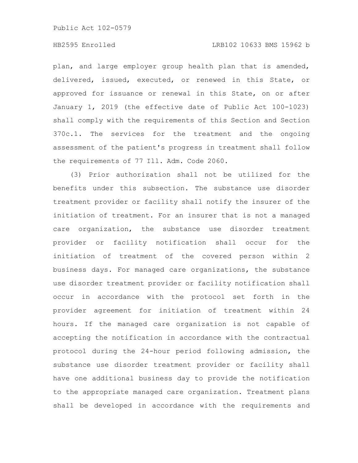# HB2595 Enrolled LRB102 10633 BMS 15962 b

plan, and large employer group health plan that is amended, delivered, issued, executed, or renewed in this State, or approved for issuance or renewal in this State, on or after January 1, 2019 (the effective date of Public Act 100-1023) shall comply with the requirements of this Section and Section 370c.1. The services for the treatment and the ongoing assessment of the patient's progress in treatment shall follow the requirements of 77 Ill. Adm. Code 2060.

(3) Prior authorization shall not be utilized for the benefits under this subsection. The substance use disorder treatment provider or facility shall notify the insurer of the initiation of treatment. For an insurer that is not a managed care organization, the substance use disorder treatment provider or facility notification shall occur for the initiation of treatment of the covered person within 2 business days. For managed care organizations, the substance use disorder treatment provider or facility notification shall occur in accordance with the protocol set forth in the provider agreement for initiation of treatment within 24 hours. If the managed care organization is not capable of accepting the notification in accordance with the contractual protocol during the 24-hour period following admission, the substance use disorder treatment provider or facility shall have one additional business day to provide the notification to the appropriate managed care organization. Treatment plans shall be developed in accordance with the requirements and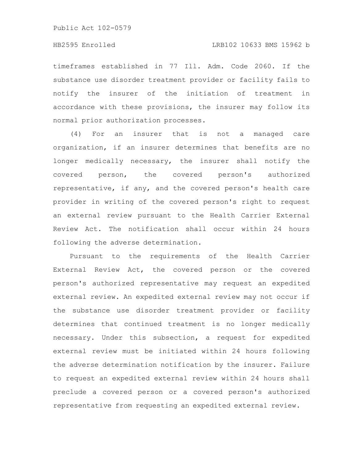timeframes established in 77 Ill. Adm. Code 2060. If the substance use disorder treatment provider or facility fails to notify the insurer of the initiation of treatment in accordance with these provisions, the insurer may follow its normal prior authorization processes.

(4) For an insurer that is not a managed care organization, if an insurer determines that benefits are no longer medically necessary, the insurer shall notify the covered person, the covered person's authorized representative, if any, and the covered person's health care provider in writing of the covered person's right to request an external review pursuant to the Health Carrier External Review Act. The notification shall occur within 24 hours following the adverse determination.

Pursuant to the requirements of the Health Carrier External Review Act, the covered person or the covered person's authorized representative may request an expedited external review. An expedited external review may not occur if the substance use disorder treatment provider or facility determines that continued treatment is no longer medically necessary. Under this subsection, a request for expedited external review must be initiated within 24 hours following the adverse determination notification by the insurer. Failure to request an expedited external review within 24 hours shall preclude a covered person or a covered person's authorized representative from requesting an expedited external review.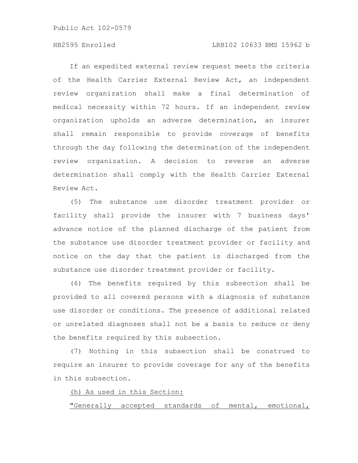# HB2595 Enrolled LRB102 10633 BMS 15962 b

If an expedited external review request meets the criteria of the Health Carrier External Review Act, an independent review organization shall make a final determination of medical necessity within 72 hours. If an independent review organization upholds an adverse determination, an insurer shall remain responsible to provide coverage of benefits through the day following the determination of the independent review organization. A decision to reverse an adverse determination shall comply with the Health Carrier External Review Act.

(5) The substance use disorder treatment provider or facility shall provide the insurer with 7 business days' advance notice of the planned discharge of the patient from the substance use disorder treatment provider or facility and notice on the day that the patient is discharged from the substance use disorder treatment provider or facility.

(6) The benefits required by this subsection shall be provided to all covered persons with a diagnosis of substance use disorder or conditions. The presence of additional related or unrelated diagnoses shall not be a basis to reduce or deny the benefits required by this subsection.

(7) Nothing in this subsection shall be construed to require an insurer to provide coverage for any of the benefits in this subsection.

(h) As used in this Section:

"Generally accepted standards of mental, emotional,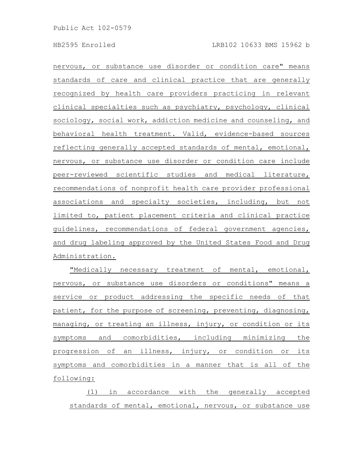nervous, or substance use disorder or condition care" means standards of care and clinical practice that are generally recognized by health care providers practicing in relevant clinical specialties such as psychiatry, psychology, clinical sociology, social work, addiction medicine and counseling, and behavioral health treatment. Valid, evidence-based sources reflecting generally accepted standards of mental, emotional, nervous, or substance use disorder or condition care include peer-reviewed scientific studies and medical literature, recommendations of nonprofit health care provider professional associations and specialty societies, including, but not limited to, patient placement criteria and clinical practice guidelines, recommendations of federal government agencies, and drug labeling approved by the United States Food and Drug Administration.

"Medically necessary treatment of mental, emotional, nervous, or substance use disorders or conditions" means a service or product addressing the specific needs of that patient, for the purpose of screening, preventing, diagnosing, managing, or treating an illness, injury, or condition or its symptoms and comorbidities, including minimizing the progression of an illness, injury, or condition or its symptoms and comorbidities in a manner that is all of the following:

(1) in accordance with the generally accepted standards of mental, emotional, nervous, or substance use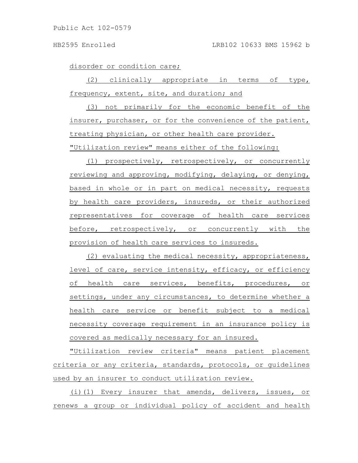disorder or condition care;

(2) clinically appropriate in terms of type, frequency, extent, site, and duration; and

(3) not primarily for the economic benefit of the insurer, purchaser, or for the convenience of the patient, treating physician, or other health care provider. "Utilization review" means either of the following:

(1) prospectively, retrospectively, or concurrently reviewing and approving, modifying, delaying, or denying, based in whole or in part on medical necessity, requests by health care providers, insureds, or their authorized representatives for coverage of health care services before, retrospectively, or concurrently with the provision of health care services to insureds.

(2) evaluating the medical necessity, appropriateness, level of care, service intensity, efficacy, or efficiency of health care services, benefits, procedures, or settings, under any circumstances, to determine whether a health care service or benefit subject to a medical necessity coverage requirement in an insurance policy is covered as medically necessary for an insured.

"Utilization review criteria" means patient placement criteria or any criteria, standards, protocols, or guidelines used by an insurer to conduct utilization review.

(i)(1) Every insurer that amends, delivers, issues, or renews a group or individual policy of accident and health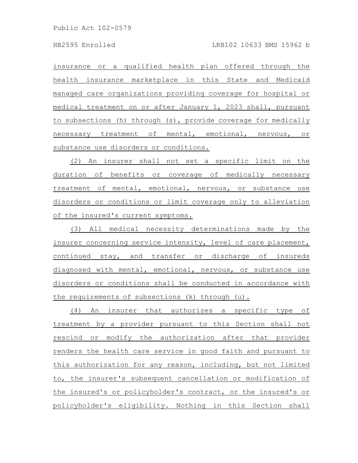insurance or a qualified health plan offered through the health insurance marketplace in this State and Medicaid managed care organizations providing coverage for hospital or medical treatment on or after January 1, 2023 shall, pursuant to subsections (h) through (s), provide coverage for medically necessary treatment of mental, emotional, nervous, or substance use disorders or conditions.

(2) An insurer shall not set a specific limit on the duration of benefits or coverage of medically necessary treatment of mental, emotional, nervous, or substance use disorders or conditions or limit coverage only to alleviation of the insured's current symptoms.

(3) All medical necessity determinations made by the insurer concerning service intensity, level of care placement, continued stay, and transfer or discharge of insureds diagnosed with mental, emotional, nervous, or substance use disorders or conditions shall be conducted in accordance with the requirements of subsections (k) through (u).

(4) An insurer that authorizes a specific type of treatment by a provider pursuant to this Section shall not rescind or modify the authorization after that provider renders the health care service in good faith and pursuant to this authorization for any reason, including, but not limited to, the insurer's subsequent cancellation or modification of the insured's or policyholder's contract, or the insured's or policyholder's eligibility. Nothing in this Section shall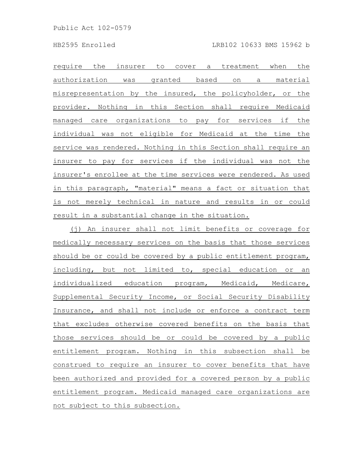require the insurer to cover a treatment when the authorization was granted based on a material misrepresentation by the insured, the policyholder, or the provider. Nothing in this Section shall require Medicaid managed care organizations to pay for services if the individual was not eligible for Medicaid at the time the service was rendered. Nothing in this Section shall require an insurer to pay for services if the individual was not the insurer's enrollee at the time services were rendered. As used in this paragraph, "material" means a fact or situation that is not merely technical in nature and results in or could result in a substantial change in the situation.

(j) An insurer shall not limit benefits or coverage for medically necessary services on the basis that those services should be or could be covered by a public entitlement program, including, but not limited to, special education or an individualized education program, Medicaid, Medicare, Supplemental Security Income, or Social Security Disability Insurance, and shall not include or enforce a contract term that excludes otherwise covered benefits on the basis that those services should be or could be covered by a public entitlement program. Nothing in this subsection shall be construed to require an insurer to cover benefits that have been authorized and provided for a covered person by a public entitlement program. Medicaid managed care organizations are not subject to this subsection.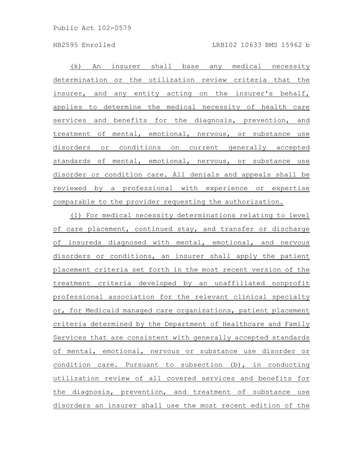HB2595 Enrolled LRB102 10633 BMS 15962 b

(k) An insurer shall base any medical necessity determination or the utilization review criteria that the insurer, and any entity acting on the insurer's behalf, applies to determine the medical necessity of health care services and benefits for the diagnosis, prevention, and treatment of mental, emotional, nervous, or substance use disorders or conditions on current generally accepted standards of mental, emotional, nervous, or substance use disorder or condition care. All denials and appeals shall be reviewed by a professional with experience or expertise comparable to the provider requesting the authorization.

(l) For medical necessity determinations relating to level of care placement, continued stay, and transfer or discharge of insureds diagnosed with mental, emotional, and nervous disorders or conditions, an insurer shall apply the patient placement criteria set forth in the most recent version of the treatment criteria developed by an unaffiliated nonprofit professional association for the relevant clinical specialty or, for Medicaid managed care organizations, patient placement criteria determined by the Department of Healthcare and Family Services that are consistent with generally accepted standards of mental, emotional, nervous or substance use disorder or condition care. Pursuant to subsection (b), in conducting utilization review of all covered services and benefits for the diagnosis, prevention, and treatment of substance use disorders an insurer shall use the most recent edition of the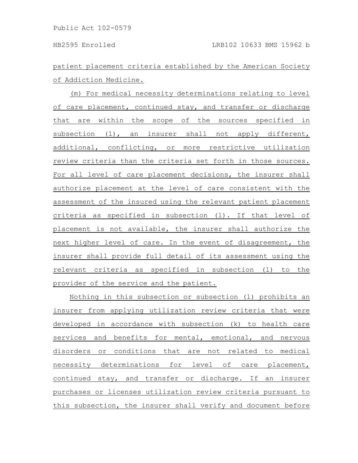patient placement criteria established by the American Society of Addiction Medicine.

(m) For medical necessity determinations relating to level of care placement, continued stay, and transfer or discharge that are within the scope of the sources specified in subsection (l), an insurer shall not apply different, additional, conflicting, or more restrictive utilization review criteria than the criteria set forth in those sources. For all level of care placement decisions, the insurer shall authorize placement at the level of care consistent with the assessment of the insured using the relevant patient placement criteria as specified in subsection (l). If that level of placement is not available, the insurer shall authorize the next higher level of care. In the event of disagreement, the insurer shall provide full detail of its assessment using the relevant criteria as specified in subsection (l) to the provider of the service and the patient.

Nothing in this subsection or subsection (l) prohibits an insurer from applying utilization review criteria that were developed in accordance with subsection (k) to health care services and benefits for mental, emotional, and nervous disorders or conditions that are not related to medical necessity determinations for level of care placement, continued stay, and transfer or discharge. If an insurer purchases or licenses utilization review criteria pursuant to this subsection, the insurer shall verify and document before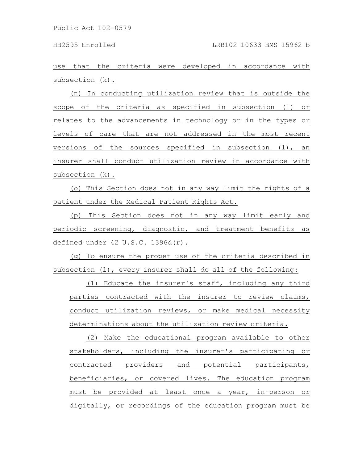use that the criteria were developed in accordance with subsection (k).

(n) In conducting utilization review that is outside the scope of the criteria as specified in subsection (l) or relates to the advancements in technology or in the types or levels of care that are not addressed in the most recent versions of the sources specified in subsection (l), an insurer shall conduct utilization review in accordance with subsection (k).

(o) This Section does not in any way limit the rights of a patient under the Medical Patient Rights Act.

(p) This Section does not in any way limit early and periodic screening, diagnostic, and treatment benefits as defined under 42 U.S.C. 1396d(r).

(q) To ensure the proper use of the criteria described in subsection (1), every insurer shall do all of the following:

(1) Educate the insurer's staff, including any third parties contracted with the insurer to review claims, conduct utilization reviews, or make medical necessity determinations about the utilization review criteria.

(2) Make the educational program available to other stakeholders, including the insurer's participating or contracted providers and potential participants, beneficiaries, or covered lives. The education program must be provided at least once a year, in-person or digitally, or recordings of the education program must be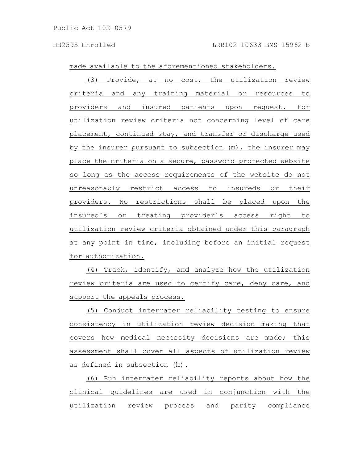made available to the aforementioned stakeholders.

(3) Provide, at no cost, the utilization review criteria and any training material or resources to providers and insured patients upon request. For utilization review criteria not concerning level of care placement, continued stay, and transfer or discharge used by the insurer pursuant to subsection (m), the insurer may place the criteria on a secure, password-protected website so long as the access requirements of the website do not unreasonably restrict access to insureds or their providers. No restrictions shall be placed upon the insured's or treating provider's access right to utilization review criteria obtained under this paragraph at any point in time, including before an initial request for authorization.

(4) Track, identify, and analyze how the utilization review criteria are used to certify care, deny care, and support the appeals process.

(5) Conduct interrater reliability testing to ensure consistency in utilization review decision making that covers how medical necessity decisions are made; this assessment shall cover all aspects of utilization review as defined in subsection (h).

(6) Run interrater reliability reports about how the clinical guidelines are used in conjunction with the utilization review process and parity compliance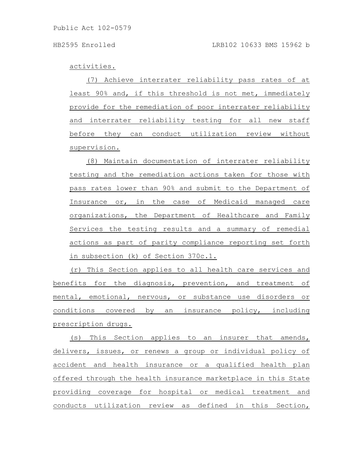activities.

(7) Achieve interrater reliability pass rates of at least 90% and, if this threshold is not met, immediately provide for the remediation of poor interrater reliability and interrater reliability testing for all new staff before they can conduct utilization review without supervision.

(8) Maintain documentation of interrater reliability testing and the remediation actions taken for those with pass rates lower than 90% and submit to the Department of Insurance or, in the case of Medicaid managed care organizations, the Department of Healthcare and Family Services the testing results and a summary of remedial actions as part of parity compliance reporting set forth in subsection (k) of Section 370c.1.

(r) This Section applies to all health care services and benefits for the diagnosis, prevention, and treatment of mental, emotional, nervous, or substance use disorders or conditions covered by an insurance policy, including prescription drugs.

(s) This Section applies to an insurer that amends, delivers, issues, or renews a group or individual policy of accident and health insurance or a qualified health plan offered through the health insurance marketplace in this State providing coverage for hospital or medical treatment and conducts utilization review as defined in this Section,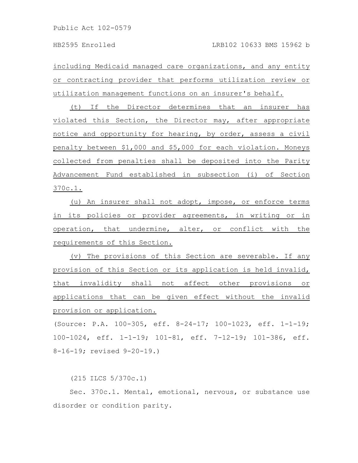including Medicaid managed care organizations, and any entity or contracting provider that performs utilization review or utilization management functions on an insurer's behalf.

(t) If the Director determines that an insurer has violated this Section, the Director may, after appropriate notice and opportunity for hearing, by order, assess a civil penalty between \$1,000 and \$5,000 for each violation. Moneys collected from penalties shall be deposited into the Parity Advancement Fund established in subsection (i) of Section 370c.1.

(u) An insurer shall not adopt, impose, or enforce terms in its policies or provider agreements, in writing or in operation, that undermine, alter, or conflict with the requirements of this Section.

(v) The provisions of this Section are severable. If any provision of this Section or its application is held invalid, that invalidity shall not affect other provisions or applications that can be given effect without the invalid provision or application.

(Source: P.A. 100-305, eff. 8-24-17; 100-1023, eff. 1-1-19; 100-1024, eff. 1-1-19; 101-81, eff. 7-12-19; 101-386, eff. 8-16-19; revised 9-20-19.)

(215 ILCS 5/370c.1)

Sec. 370c.1. Mental, emotional, nervous, or substance use disorder or condition parity.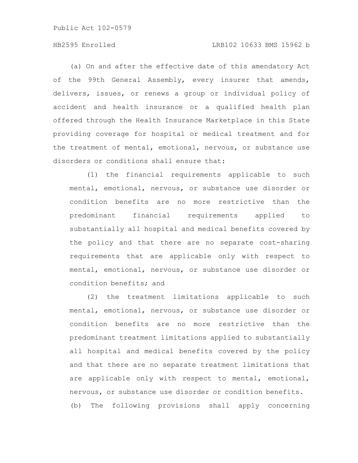# HB2595 Enrolled LRB102 10633 BMS 15962 b

(a) On and after the effective date of this amendatory Act of the 99th General Assembly, every insurer that amends, delivers, issues, or renews a group or individual policy of accident and health insurance or a qualified health plan offered through the Health Insurance Marketplace in this State providing coverage for hospital or medical treatment and for the treatment of mental, emotional, nervous, or substance use disorders or conditions shall ensure that:

(1) the financial requirements applicable to such mental, emotional, nervous, or substance use disorder or condition benefits are no more restrictive than the predominant financial requirements applied to substantially all hospital and medical benefits covered by the policy and that there are no separate cost-sharing requirements that are applicable only with respect to mental, emotional, nervous, or substance use disorder or condition benefits; and

(2) the treatment limitations applicable to such mental, emotional, nervous, or substance use disorder or condition benefits are no more restrictive than the predominant treatment limitations applied to substantially all hospital and medical benefits covered by the policy and that there are no separate treatment limitations that are applicable only with respect to mental, emotional, nervous, or substance use disorder or condition benefits. (b) The following provisions shall apply concerning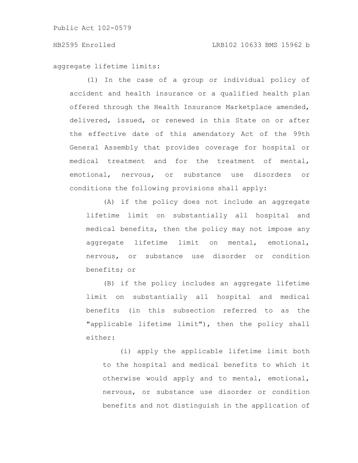aggregate lifetime limits:

(1) In the case of a group or individual policy of accident and health insurance or a qualified health plan offered through the Health Insurance Marketplace amended, delivered, issued, or renewed in this State on or after the effective date of this amendatory Act of the 99th General Assembly that provides coverage for hospital or medical treatment and for the treatment of mental, emotional, nervous, or substance use disorders or conditions the following provisions shall apply:

(A) if the policy does not include an aggregate lifetime limit on substantially all hospital and medical benefits, then the policy may not impose any aggregate lifetime limit on mental, emotional, nervous, or substance use disorder or condition benefits; or

(B) if the policy includes an aggregate lifetime limit on substantially all hospital and medical benefits (in this subsection referred to as the "applicable lifetime limit"), then the policy shall either:

(i) apply the applicable lifetime limit both to the hospital and medical benefits to which it otherwise would apply and to mental, emotional, nervous, or substance use disorder or condition benefits and not distinguish in the application of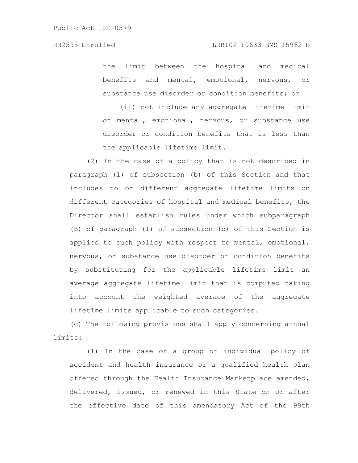the limit between the hospital and medical benefits and mental, emotional, nervous, or substance use disorder or condition benefits; or

(ii) not include any aggregate lifetime limit on mental, emotional, nervous, or substance use disorder or condition benefits that is less than the applicable lifetime limit.

(2) In the case of a policy that is not described in paragraph (1) of subsection (b) of this Section and that includes no or different aggregate lifetime limits on different categories of hospital and medical benefits, the Director shall establish rules under which subparagraph (B) of paragraph (1) of subsection (b) of this Section is applied to such policy with respect to mental, emotional, nervous, or substance use disorder or condition benefits by substituting for the applicable lifetime limit an average aggregate lifetime limit that is computed taking into account the weighted average of the aggregate lifetime limits applicable to such categories.

(c) The following provisions shall apply concerning annual limits:

(1) In the case of a group or individual policy of accident and health insurance or a qualified health plan offered through the Health Insurance Marketplace amended, delivered, issued, or renewed in this State on or after the effective date of this amendatory Act of the 99th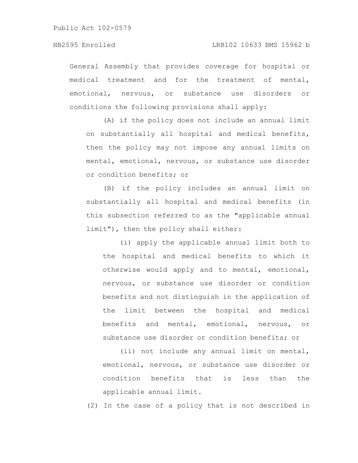General Assembly that provides coverage for hospital or medical treatment and for the treatment of mental, emotional, nervous, or substance use disorders or conditions the following provisions shall apply:

(A) if the policy does not include an annual limit on substantially all hospital and medical benefits, then the policy may not impose any annual limits on mental, emotional, nervous, or substance use disorder or condition benefits; or

(B) if the policy includes an annual limit on substantially all hospital and medical benefits (in this subsection referred to as the "applicable annual limit"), then the policy shall either:

(i) apply the applicable annual limit both to the hospital and medical benefits to which it otherwise would apply and to mental, emotional, nervous, or substance use disorder or condition benefits and not distinguish in the application of the limit between the hospital and medical benefits and mental, emotional, nervous, or substance use disorder or condition benefits; or

(ii) not include any annual limit on mental, emotional, nervous, or substance use disorder or condition benefits that is less than the applicable annual limit.

(2) In the case of a policy that is not described in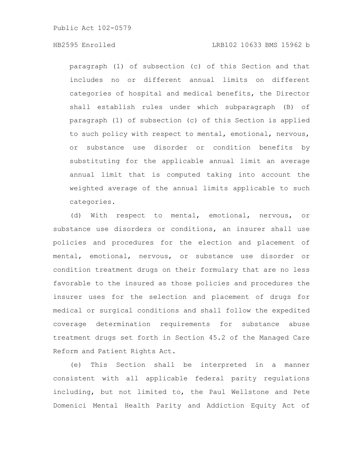# HB2595 Enrolled LRB102 10633 BMS 15962 b

paragraph (1) of subsection (c) of this Section and that includes no or different annual limits on different categories of hospital and medical benefits, the Director shall establish rules under which subparagraph (B) of paragraph (1) of subsection (c) of this Section is applied to such policy with respect to mental, emotional, nervous, or substance use disorder or condition benefits by substituting for the applicable annual limit an average annual limit that is computed taking into account the weighted average of the annual limits applicable to such categories.

(d) With respect to mental, emotional, nervous, or substance use disorders or conditions, an insurer shall use policies and procedures for the election and placement of mental, emotional, nervous, or substance use disorder or condition treatment drugs on their formulary that are no less favorable to the insured as those policies and procedures the insurer uses for the selection and placement of drugs for medical or surgical conditions and shall follow the expedited coverage determination requirements for substance abuse treatment drugs set forth in Section 45.2 of the Managed Care Reform and Patient Rights Act.

(e) This Section shall be interpreted in a manner consistent with all applicable federal parity regulations including, but not limited to, the Paul Wellstone and Pete Domenici Mental Health Parity and Addiction Equity Act of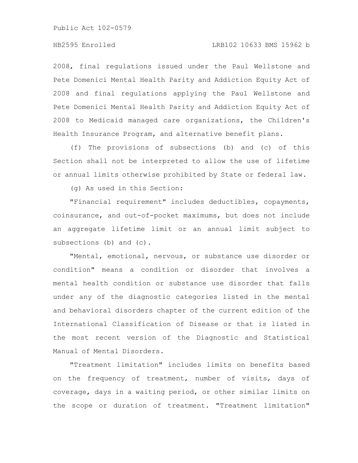2008, final regulations issued under the Paul Wellstone and Pete Domenici Mental Health Parity and Addiction Equity Act of 2008 and final regulations applying the Paul Wellstone and Pete Domenici Mental Health Parity and Addiction Equity Act of 2008 to Medicaid managed care organizations, the Children's Health Insurance Program, and alternative benefit plans.

(f) The provisions of subsections (b) and (c) of this Section shall not be interpreted to allow the use of lifetime or annual limits otherwise prohibited by State or federal law.

(g) As used in this Section:

"Financial requirement" includes deductibles, copayments, coinsurance, and out-of-pocket maximums, but does not include an aggregate lifetime limit or an annual limit subject to subsections (b) and (c).

"Mental, emotional, nervous, or substance use disorder or condition" means a condition or disorder that involves a mental health condition or substance use disorder that falls under any of the diagnostic categories listed in the mental and behavioral disorders chapter of the current edition of the International Classification of Disease or that is listed in the most recent version of the Diagnostic and Statistical Manual of Mental Disorders.

"Treatment limitation" includes limits on benefits based on the frequency of treatment, number of visits, days of coverage, days in a waiting period, or other similar limits on the scope or duration of treatment. "Treatment limitation"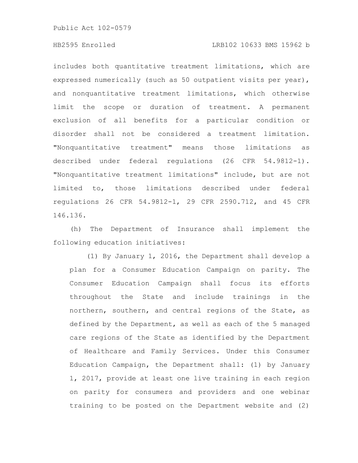# HB2595 Enrolled LRB102 10633 BMS 15962 b

includes both quantitative treatment limitations, which are expressed numerically (such as 50 outpatient visits per year), and nonquantitative treatment limitations, which otherwise limit the scope or duration of treatment. A permanent exclusion of all benefits for a particular condition or disorder shall not be considered a treatment limitation. "Nonquantitative treatment" means those limitations as described under federal regulations (26 CFR 54.9812-1). "Nonquantitative treatment limitations" include, but are not limited to, those limitations described under federal regulations 26 CFR 54.9812-1, 29 CFR 2590.712, and 45 CFR 146.136.

(h) The Department of Insurance shall implement the following education initiatives:

(1) By January 1, 2016, the Department shall develop a plan for a Consumer Education Campaign on parity. The Consumer Education Campaign shall focus its efforts throughout the State and include trainings in the northern, southern, and central regions of the State, as defined by the Department, as well as each of the 5 managed care regions of the State as identified by the Department of Healthcare and Family Services. Under this Consumer Education Campaign, the Department shall: (1) by January 1, 2017, provide at least one live training in each region on parity for consumers and providers and one webinar training to be posted on the Department website and (2)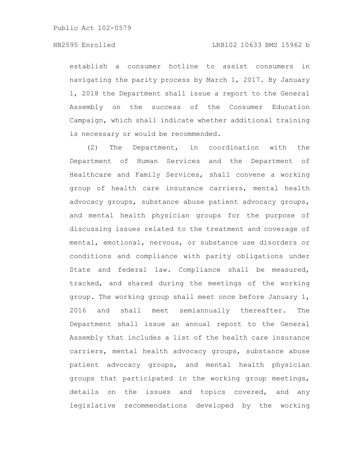### HB2595 Enrolled LRB102 10633 BMS 15962 b

establish a consumer hotline to assist consumers in navigating the parity process by March 1, 2017. By January 1, 2018 the Department shall issue a report to the General Assembly on the success of the Consumer Education Campaign, which shall indicate whether additional training is necessary or would be recommended.

(2) The Department, in coordination with the Department of Human Services and the Department of Healthcare and Family Services, shall convene a working group of health care insurance carriers, mental health advocacy groups, substance abuse patient advocacy groups, and mental health physician groups for the purpose of discussing issues related to the treatment and coverage of mental, emotional, nervous, or substance use disorders or conditions and compliance with parity obligations under State and federal law. Compliance shall be measured, tracked, and shared during the meetings of the working group. The working group shall meet once before January 1, 2016 and shall meet semiannually thereafter. The Department shall issue an annual report to the General Assembly that includes a list of the health care insurance carriers, mental health advocacy groups, substance abuse patient advocacy groups, and mental health physician groups that participated in the working group meetings, details on the issues and topics covered, and any legislative recommendations developed by the working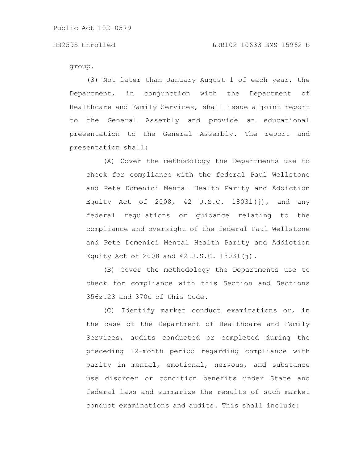group.

(3) Not later than January August 1 of each year, the Department, in conjunction with the Department of Healthcare and Family Services, shall issue a joint report to the General Assembly and provide an educational presentation to the General Assembly. The report and presentation shall:

(A) Cover the methodology the Departments use to check for compliance with the federal Paul Wellstone and Pete Domenici Mental Health Parity and Addiction Equity Act of 2008, 42 U.S.C. 18031(j), and any federal regulations or guidance relating to the compliance and oversight of the federal Paul Wellstone and Pete Domenici Mental Health Parity and Addiction Equity Act of 2008 and 42 U.S.C. 18031(j).

(B) Cover the methodology the Departments use to check for compliance with this Section and Sections 356z.23 and 370c of this Code.

(C) Identify market conduct examinations or, in the case of the Department of Healthcare and Family Services, audits conducted or completed during the preceding 12-month period regarding compliance with parity in mental, emotional, nervous, and substance use disorder or condition benefits under State and federal laws and summarize the results of such market conduct examinations and audits. This shall include: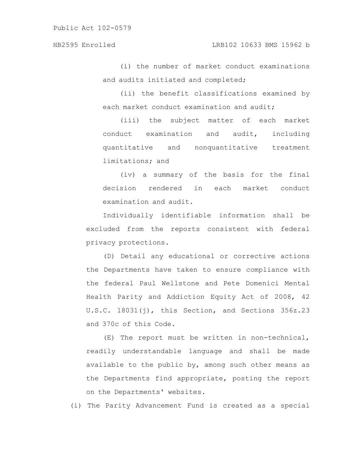(i) the number of market conduct examinations and audits initiated and completed;

(ii) the benefit classifications examined by each market conduct examination and audit;

(iii) the subject matter of each market conduct examination and audit, including quantitative and nonquantitative treatment limitations; and

(iv) a summary of the basis for the final decision rendered in each market conduct examination and audit.

Individually identifiable information shall be excluded from the reports consistent with federal privacy protections.

(D) Detail any educational or corrective actions the Departments have taken to ensure compliance with the federal Paul Wellstone and Pete Domenici Mental Health Parity and Addiction Equity Act of 2008, 42 U.S.C. 18031(j), this Section, and Sections 356z.23 and 370c of this Code.

(E) The report must be written in non-technical, readily understandable language and shall be made available to the public by, among such other means as the Departments find appropriate, posting the report on the Departments' websites.

(i) The Parity Advancement Fund is created as a special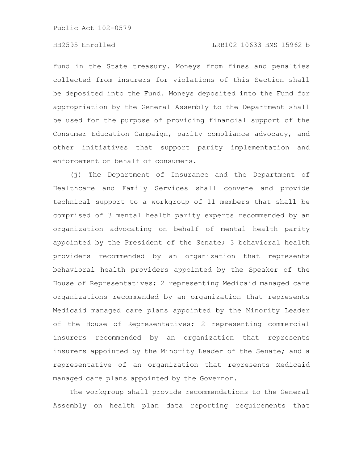# HB2595 Enrolled LRB102 10633 BMS 15962 b

fund in the State treasury. Moneys from fines and penalties collected from insurers for violations of this Section shall be deposited into the Fund. Moneys deposited into the Fund for appropriation by the General Assembly to the Department shall be used for the purpose of providing financial support of the Consumer Education Campaign, parity compliance advocacy, and other initiatives that support parity implementation and enforcement on behalf of consumers.

(j) The Department of Insurance and the Department of Healthcare and Family Services shall convene and provide technical support to a workgroup of 11 members that shall be comprised of 3 mental health parity experts recommended by an organization advocating on behalf of mental health parity appointed by the President of the Senate; 3 behavioral health providers recommended by an organization that represents behavioral health providers appointed by the Speaker of the House of Representatives; 2 representing Medicaid managed care organizations recommended by an organization that represents Medicaid managed care plans appointed by the Minority Leader of the House of Representatives; 2 representing commercial insurers recommended by an organization that represents insurers appointed by the Minority Leader of the Senate; and a representative of an organization that represents Medicaid managed care plans appointed by the Governor.

The workgroup shall provide recommendations to the General Assembly on health plan data reporting requirements that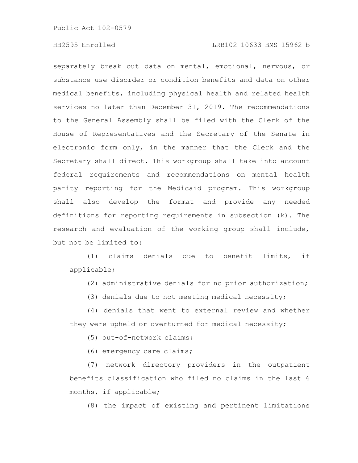# HB2595 Enrolled LRB102 10633 BMS 15962 b

separately break out data on mental, emotional, nervous, or substance use disorder or condition benefits and data on other medical benefits, including physical health and related health services no later than December 31, 2019. The recommendations to the General Assembly shall be filed with the Clerk of the House of Representatives and the Secretary of the Senate in electronic form only, in the manner that the Clerk and the Secretary shall direct. This workgroup shall take into account federal requirements and recommendations on mental health parity reporting for the Medicaid program. This workgroup shall also develop the format and provide any needed definitions for reporting requirements in subsection (k). The research and evaluation of the working group shall include, but not be limited to:

(1) claims denials due to benefit limits, if applicable;

(2) administrative denials for no prior authorization;

(3) denials due to not meeting medical necessity;

(4) denials that went to external review and whether they were upheld or overturned for medical necessity;

(5) out-of-network claims;

(6) emergency care claims;

(7) network directory providers in the outpatient benefits classification who filed no claims in the last 6 months, if applicable;

(8) the impact of existing and pertinent limitations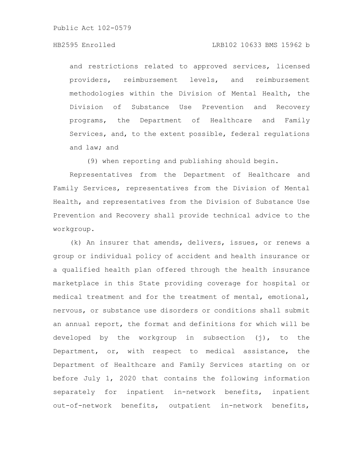# HB2595 Enrolled LRB102 10633 BMS 15962 b

and restrictions related to approved services, licensed providers, reimbursement levels, and reimbursement methodologies within the Division of Mental Health, the Division of Substance Use Prevention and Recovery programs, the Department of Healthcare and Family Services, and, to the extent possible, federal regulations and law; and

(9) when reporting and publishing should begin.

Representatives from the Department of Healthcare and Family Services, representatives from the Division of Mental Health, and representatives from the Division of Substance Use Prevention and Recovery shall provide technical advice to the workgroup.

(k) An insurer that amends, delivers, issues, or renews a group or individual policy of accident and health insurance or a qualified health plan offered through the health insurance marketplace in this State providing coverage for hospital or medical treatment and for the treatment of mental, emotional, nervous, or substance use disorders or conditions shall submit an annual report, the format and definitions for which will be developed by the workgroup in subsection (j), to the Department, or, with respect to medical assistance, the Department of Healthcare and Family Services starting on or before July 1, 2020 that contains the following information separately for inpatient in-network benefits, inpatient out-of-network benefits, outpatient in-network benefits,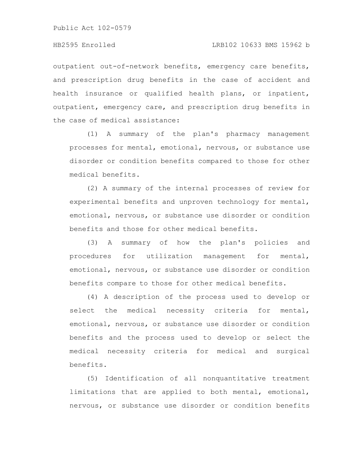outpatient out-of-network benefits, emergency care benefits, and prescription drug benefits in the case of accident and health insurance or qualified health plans, or inpatient, outpatient, emergency care, and prescription drug benefits in the case of medical assistance:

(1) A summary of the plan's pharmacy management processes for mental, emotional, nervous, or substance use disorder or condition benefits compared to those for other medical benefits.

(2) A summary of the internal processes of review for experimental benefits and unproven technology for mental, emotional, nervous, or substance use disorder or condition benefits and those for other medical benefits.

(3) A summary of how the plan's policies and procedures for utilization management for mental, emotional, nervous, or substance use disorder or condition benefits compare to those for other medical benefits.

(4) A description of the process used to develop or select the medical necessity criteria for mental, emotional, nervous, or substance use disorder or condition benefits and the process used to develop or select the medical necessity criteria for medical and surgical benefits.

(5) Identification of all nonquantitative treatment limitations that are applied to both mental, emotional, nervous, or substance use disorder or condition benefits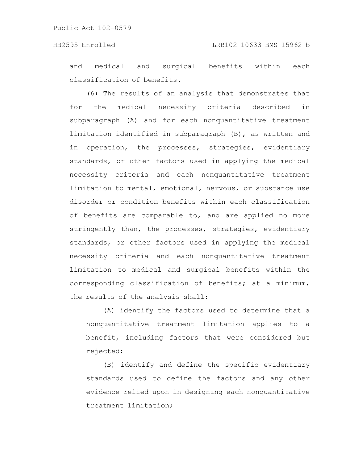and medical and surgical benefits within each classification of benefits.

(6) The results of an analysis that demonstrates that for the medical necessity criteria described in subparagraph (A) and for each nonquantitative treatment limitation identified in subparagraph (B), as written and in operation, the processes, strategies, evidentiary standards, or other factors used in applying the medical necessity criteria and each nonquantitative treatment limitation to mental, emotional, nervous, or substance use disorder or condition benefits within each classification of benefits are comparable to, and are applied no more stringently than, the processes, strategies, evidentiary standards, or other factors used in applying the medical necessity criteria and each nonquantitative treatment limitation to medical and surgical benefits within the corresponding classification of benefits; at a minimum, the results of the analysis shall:

(A) identify the factors used to determine that a nonquantitative treatment limitation applies to a benefit, including factors that were considered but rejected;

(B) identify and define the specific evidentiary standards used to define the factors and any other evidence relied upon in designing each nonquantitative treatment limitation;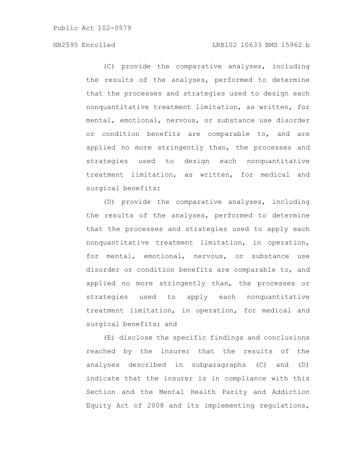# HB2595 Enrolled LRB102 10633 BMS 15962 b

(C) provide the comparative analyses, including the results of the analyses, performed to determine that the processes and strategies used to design each nonquantitative treatment limitation, as written, for mental, emotional, nervous, or substance use disorder or condition benefits are comparable to, and are applied no more stringently than, the processes and strategies used to design each nonquantitative treatment limitation, as written, for medical and surgical benefits;

(D) provide the comparative analyses, including the results of the analyses, performed to determine that the processes and strategies used to apply each nonquantitative treatment limitation, in operation, for mental, emotional, nervous, or substance use disorder or condition benefits are comparable to, and applied no more stringently than, the processes or strategies used to apply each nonquantitative treatment limitation, in operation, for medical and surgical benefits; and

(E) disclose the specific findings and conclusions reached by the insurer that the results of the analyses described in subparagraphs (C) and (D) indicate that the insurer is in compliance with this Section and the Mental Health Parity and Addiction Equity Act of 2008 and its implementing regulations,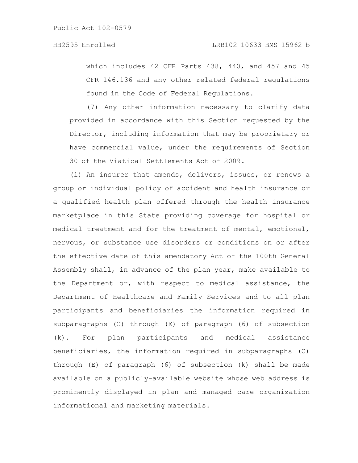which includes 42 CFR Parts 438, 440, and 457 and 45 CFR 146.136 and any other related federal regulations found in the Code of Federal Regulations.

(7) Any other information necessary to clarify data provided in accordance with this Section requested by the Director, including information that may be proprietary or have commercial value, under the requirements of Section 30 of the Viatical Settlements Act of 2009.

(l) An insurer that amends, delivers, issues, or renews a group or individual policy of accident and health insurance or a qualified health plan offered through the health insurance marketplace in this State providing coverage for hospital or medical treatment and for the treatment of mental, emotional, nervous, or substance use disorders or conditions on or after the effective date of this amendatory Act of the 100th General Assembly shall, in advance of the plan year, make available to the Department or, with respect to medical assistance, the Department of Healthcare and Family Services and to all plan participants and beneficiaries the information required in subparagraphs (C) through (E) of paragraph (6) of subsection (k). For plan participants and medical assistance beneficiaries, the information required in subparagraphs (C) through (E) of paragraph (6) of subsection (k) shall be made available on a publicly-available website whose web address is prominently displayed in plan and managed care organization informational and marketing materials.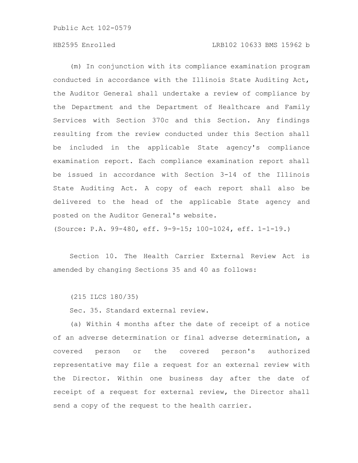# HB2595 Enrolled LRB102 10633 BMS 15962 b

(m) In conjunction with its compliance examination program conducted in accordance with the Illinois State Auditing Act, the Auditor General shall undertake a review of compliance by the Department and the Department of Healthcare and Family Services with Section 370c and this Section. Any findings resulting from the review conducted under this Section shall be included in the applicable State agency's compliance examination report. Each compliance examination report shall be issued in accordance with Section 3-14 of the Illinois State Auditing Act. A copy of each report shall also be delivered to the head of the applicable State agency and posted on the Auditor General's website.

(Source: P.A. 99-480, eff. 9-9-15; 100-1024, eff. 1-1-19.)

Section 10. The Health Carrier External Review Act is amended by changing Sections 35 and 40 as follows:

(215 ILCS 180/35)

Sec. 35. Standard external review.

(a) Within 4 months after the date of receipt of a notice of an adverse determination or final adverse determination, a covered person or the covered person's authorized representative may file a request for an external review with the Director. Within one business day after the date of receipt of a request for external review, the Director shall send a copy of the request to the health carrier.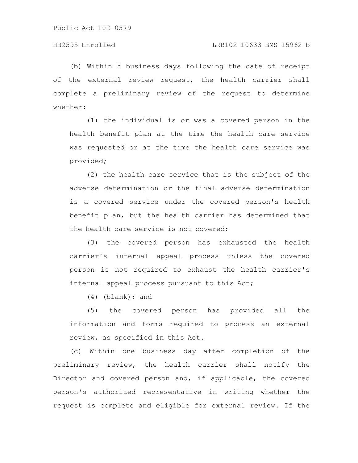(b) Within 5 business days following the date of receipt of the external review request, the health carrier shall complete a preliminary review of the request to determine whether:

(1) the individual is or was a covered person in the health benefit plan at the time the health care service was requested or at the time the health care service was provided;

(2) the health care service that is the subject of the adverse determination or the final adverse determination is a covered service under the covered person's health benefit plan, but the health carrier has determined that the health care service is not covered;

(3) the covered person has exhausted the health carrier's internal appeal process unless the covered person is not required to exhaust the health carrier's internal appeal process pursuant to this Act;

 $(4)$  (blank); and

(5) the covered person has provided all the information and forms required to process an external review, as specified in this Act.

(c) Within one business day after completion of the preliminary review, the health carrier shall notify the Director and covered person and, if applicable, the covered person's authorized representative in writing whether the request is complete and eligible for external review. If the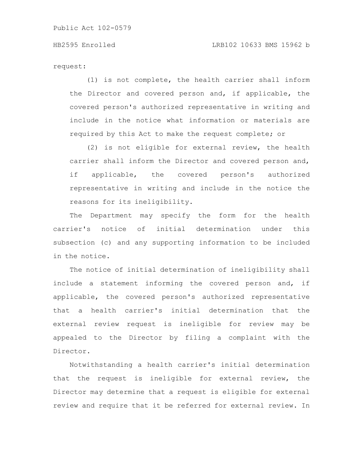request:

(1) is not complete, the health carrier shall inform the Director and covered person and, if applicable, the covered person's authorized representative in writing and include in the notice what information or materials are required by this Act to make the request complete; or

(2) is not eligible for external review, the health carrier shall inform the Director and covered person and, if applicable, the covered person's authorized representative in writing and include in the notice the reasons for its ineligibility.

The Department may specify the form for the health carrier's notice of initial determination under this subsection (c) and any supporting information to be included in the notice.

The notice of initial determination of ineligibility shall include a statement informing the covered person and, if applicable, the covered person's authorized representative that a health carrier's initial determination that the external review request is ineligible for review may be appealed to the Director by filing a complaint with the Director.

Notwithstanding a health carrier's initial determination that the request is ineligible for external review, the Director may determine that a request is eligible for external review and require that it be referred for external review. In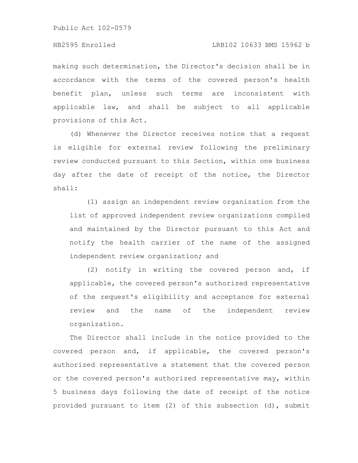# HB2595 Enrolled LRB102 10633 BMS 15962 b

making such determination, the Director's decision shall be in accordance with the terms of the covered person's health benefit plan, unless such terms are inconsistent with applicable law, and shall be subject to all applicable provisions of this Act.

(d) Whenever the Director receives notice that a request is eligible for external review following the preliminary review conducted pursuant to this Section, within one business day after the date of receipt of the notice, the Director shall:

(1) assign an independent review organization from the list of approved independent review organizations compiled and maintained by the Director pursuant to this Act and notify the health carrier of the name of the assigned independent review organization; and

(2) notify in writing the covered person and, if applicable, the covered person's authorized representative of the request's eligibility and acceptance for external review and the name of the independent review organization.

The Director shall include in the notice provided to the covered person and, if applicable, the covered person's authorized representative a statement that the covered person or the covered person's authorized representative may, within 5 business days following the date of receipt of the notice provided pursuant to item (2) of this subsection (d), submit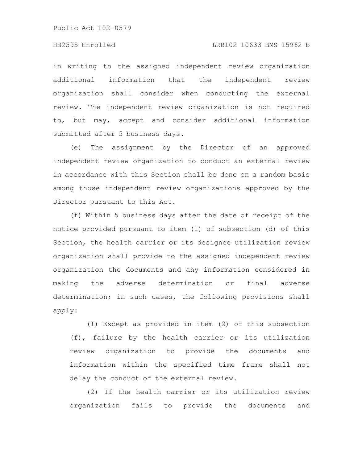# HB2595 Enrolled LRB102 10633 BMS 15962 b

in writing to the assigned independent review organization additional information that the independent review organization shall consider when conducting the external review. The independent review organization is not required to, but may, accept and consider additional information submitted after 5 business days.

(e) The assignment by the Director of an approved independent review organization to conduct an external review in accordance with this Section shall be done on a random basis among those independent review organizations approved by the Director pursuant to this Act.

(f) Within 5 business days after the date of receipt of the notice provided pursuant to item (1) of subsection (d) of this Section, the health carrier or its designee utilization review organization shall provide to the assigned independent review organization the documents and any information considered in making the adverse determination or final adverse determination; in such cases, the following provisions shall apply:

(1) Except as provided in item (2) of this subsection (f), failure by the health carrier or its utilization review organization to provide the documents and information within the specified time frame shall not delay the conduct of the external review.

(2) If the health carrier or its utilization review organization fails to provide the documents and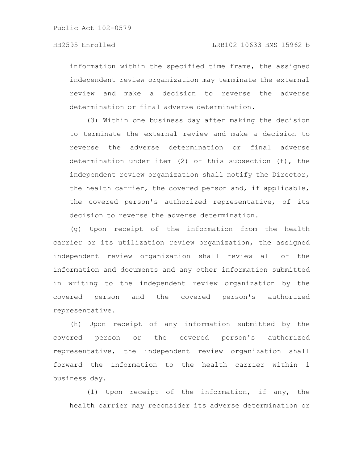information within the specified time frame, the assigned independent review organization may terminate the external review and make a decision to reverse the adverse determination or final adverse determination.

(3) Within one business day after making the decision to terminate the external review and make a decision to reverse the adverse determination or final adverse determination under item (2) of this subsection (f), the independent review organization shall notify the Director, the health carrier, the covered person and, if applicable, the covered person's authorized representative, of its decision to reverse the adverse determination.

(g) Upon receipt of the information from the health carrier or its utilization review organization, the assigned independent review organization shall review all of the information and documents and any other information submitted in writing to the independent review organization by the covered person and the covered person's authorized representative.

(h) Upon receipt of any information submitted by the covered person or the covered person's authorized representative, the independent review organization shall forward the information to the health carrier within 1 business day.

(1) Upon receipt of the information, if any, the health carrier may reconsider its adverse determination or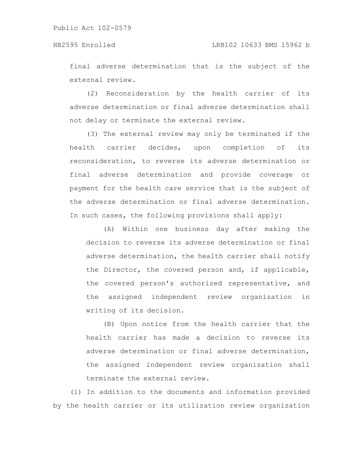# HB2595 Enrolled LRB102 10633 BMS 15962 b

final adverse determination that is the subject of the external review.

(2) Reconsideration by the health carrier of its adverse determination or final adverse determination shall not delay or terminate the external review.

(3) The external review may only be terminated if the health carrier decides, upon completion of its reconsideration, to reverse its adverse determination or final adverse determination and provide coverage or payment for the health care service that is the subject of the adverse determination or final adverse determination. In such cases, the following provisions shall apply:

(A) Within one business day after making the decision to reverse its adverse determination or final adverse determination, the health carrier shall notify the Director, the covered person and, if applicable, the covered person's authorized representative, and the assigned independent review organization in writing of its decision.

(B) Upon notice from the health carrier that the health carrier has made a decision to reverse its adverse determination or final adverse determination, the assigned independent review organization shall terminate the external review.

(i) In addition to the documents and information provided by the health carrier or its utilization review organization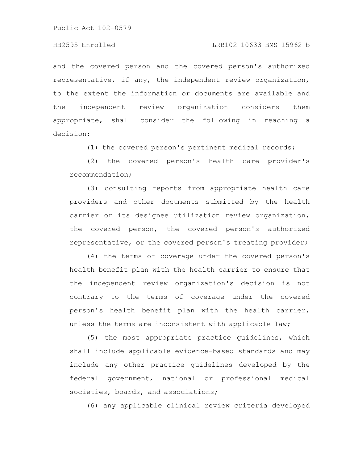# HB2595 Enrolled LRB102 10633 BMS 15962 b

and the covered person and the covered person's authorized representative, if any, the independent review organization, to the extent the information or documents are available and the independent review organization considers them appropriate, shall consider the following in reaching a decision:

(1) the covered person's pertinent medical records;

(2) the covered person's health care provider's recommendation;

(3) consulting reports from appropriate health care providers and other documents submitted by the health carrier or its designee utilization review organization, the covered person, the covered person's authorized representative, or the covered person's treating provider;

(4) the terms of coverage under the covered person's health benefit plan with the health carrier to ensure that the independent review organization's decision is not contrary to the terms of coverage under the covered person's health benefit plan with the health carrier, unless the terms are inconsistent with applicable law;

(5) the most appropriate practice guidelines, which shall include applicable evidence-based standards and may include any other practice guidelines developed by the federal government, national or professional medical societies, boards, and associations;

(6) any applicable clinical review criteria developed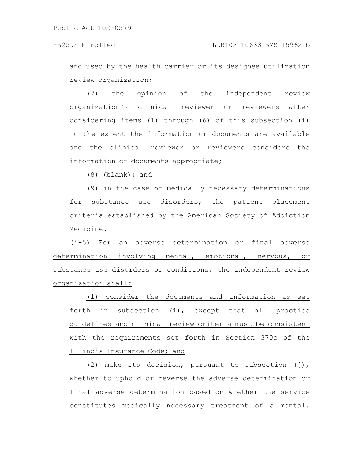and used by the health carrier or its designee utilization review organization;

(7) the opinion of the independent review organization's clinical reviewer or reviewers after considering items (1) through (6) of this subsection (i) to the extent the information or documents are available and the clinical reviewer or reviewers considers the information or documents appropriate;

(8) (blank); and

(9) in the case of medically necessary determinations for substance use disorders, the patient placement criteria established by the American Society of Addiction Medicine.

(i-5) For an adverse determination or final adverse determination involving mental, emotional, nervous, or substance use disorders or conditions, the independent review organization shall:

(1) consider the documents and information as set forth in subsection (i), except that all practice guidelines and clinical review criteria must be consistent with the requirements set forth in Section 370c of the Illinois Insurance Code; and

(2) make its decision, pursuant to subsection  $(j)$ , whether to uphold or reverse the adverse determination or final adverse determination based on whether the service constitutes medically necessary treatment of a mental,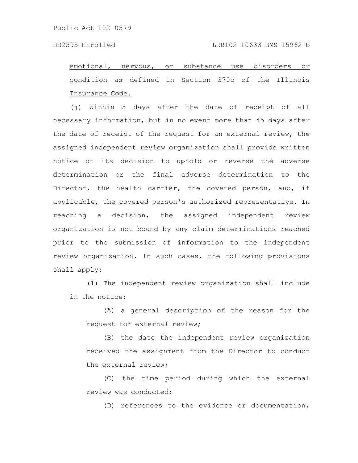emotional, nervous, or substance use disorders or condition as defined in Section 370c of the Illinois Insurance Code.

(j) Within 5 days after the date of receipt of all necessary information, but in no event more than 45 days after the date of receipt of the request for an external review, the assigned independent review organization shall provide written notice of its decision to uphold or reverse the adverse determination or the final adverse determination to the Director, the health carrier, the covered person, and, if applicable, the covered person's authorized representative. In reaching a decision, the assigned independent review organization is not bound by any claim determinations reached prior to the submission of information to the independent review organization. In such cases, the following provisions shall apply:

(1) The independent review organization shall include in the notice:

(A) a general description of the reason for the request for external review;

(B) the date the independent review organization received the assignment from the Director to conduct the external review;

(C) the time period during which the external review was conducted;

(D) references to the evidence or documentation,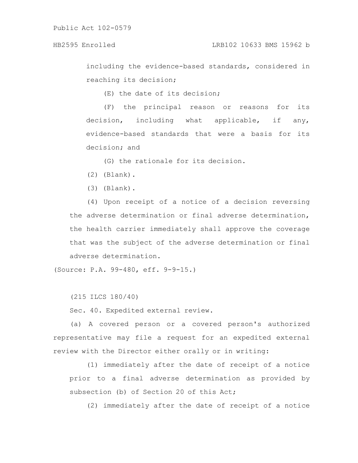# HB2595 Enrolled LRB102 10633 BMS 15962 b

including the evidence-based standards, considered in reaching its decision;

(E) the date of its decision;

(F) the principal reason or reasons for its decision, including what applicable, if any, evidence-based standards that were a basis for its decision; and

(G) the rationale for its decision.

(2) (Blank).

(3) (Blank).

(4) Upon receipt of a notice of a decision reversing the adverse determination or final adverse determination, the health carrier immediately shall approve the coverage that was the subject of the adverse determination or final adverse determination.

(Source: P.A. 99-480, eff. 9-9-15.)

(215 ILCS 180/40)

Sec. 40. Expedited external review.

(a) A covered person or a covered person's authorized representative may file a request for an expedited external review with the Director either orally or in writing:

(1) immediately after the date of receipt of a notice prior to a final adverse determination as provided by subsection (b) of Section 20 of this Act;

(2) immediately after the date of receipt of a notice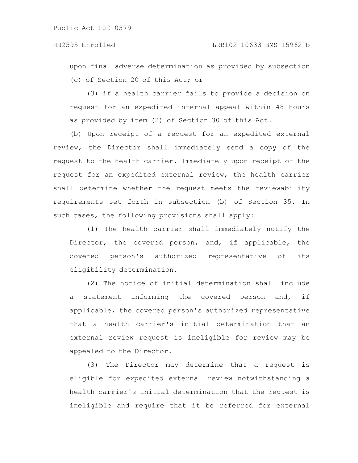upon final adverse determination as provided by subsection (c) of Section 20 of this Act; or

(3) if a health carrier fails to provide a decision on request for an expedited internal appeal within 48 hours as provided by item (2) of Section 30 of this Act.

(b) Upon receipt of a request for an expedited external review, the Director shall immediately send a copy of the request to the health carrier. Immediately upon receipt of the request for an expedited external review, the health carrier shall determine whether the request meets the reviewability requirements set forth in subsection (b) of Section 35. In such cases, the following provisions shall apply:

(1) The health carrier shall immediately notify the Director, the covered person, and, if applicable, the covered person's authorized representative of its eligibility determination.

(2) The notice of initial determination shall include a statement informing the covered person and, if applicable, the covered person's authorized representative that a health carrier's initial determination that an external review request is ineligible for review may be appealed to the Director.

(3) The Director may determine that a request is eligible for expedited external review notwithstanding a health carrier's initial determination that the request is ineligible and require that it be referred for external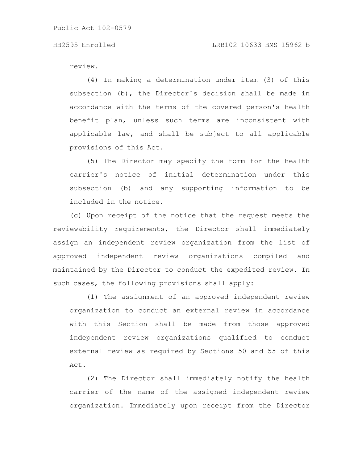# HB2595 Enrolled LRB102 10633 BMS 15962 b

review.

(4) In making a determination under item (3) of this subsection (b), the Director's decision shall be made in accordance with the terms of the covered person's health benefit plan, unless such terms are inconsistent with applicable law, and shall be subject to all applicable provisions of this Act.

(5) The Director may specify the form for the health carrier's notice of initial determination under this subsection (b) and any supporting information to be included in the notice.

(c) Upon receipt of the notice that the request meets the reviewability requirements, the Director shall immediately assign an independent review organization from the list of approved independent review organizations compiled and maintained by the Director to conduct the expedited review. In such cases, the following provisions shall apply:

(1) The assignment of an approved independent review organization to conduct an external review in accordance with this Section shall be made from those approved independent review organizations qualified to conduct external review as required by Sections 50 and 55 of this Act.

(2) The Director shall immediately notify the health carrier of the name of the assigned independent review organization. Immediately upon receipt from the Director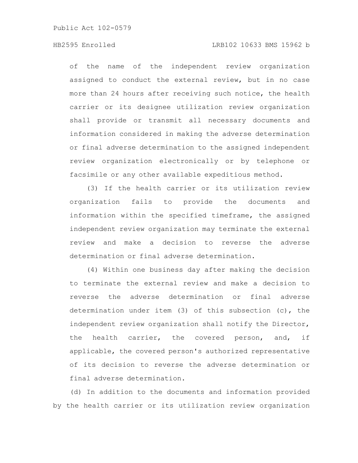# HB2595 Enrolled LRB102 10633 BMS 15962 b

of the name of the independent review organization assigned to conduct the external review, but in no case more than 24 hours after receiving such notice, the health carrier or its designee utilization review organization shall provide or transmit all necessary documents and information considered in making the adverse determination or final adverse determination to the assigned independent review organization electronically or by telephone or facsimile or any other available expeditious method.

(3) If the health carrier or its utilization review organization fails to provide the documents and information within the specified timeframe, the assigned independent review organization may terminate the external review and make a decision to reverse the adverse determination or final adverse determination.

(4) Within one business day after making the decision to terminate the external review and make a decision to reverse the adverse determination or final adverse determination under item (3) of this subsection (c), the independent review organization shall notify the Director, the health carrier, the covered person, and, if applicable, the covered person's authorized representative of its decision to reverse the adverse determination or final adverse determination.

(d) In addition to the documents and information provided by the health carrier or its utilization review organization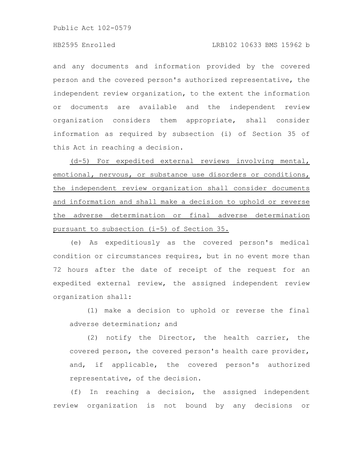and any documents and information provided by the covered person and the covered person's authorized representative, the independent review organization, to the extent the information or documents are available and the independent review organization considers them appropriate, shall consider information as required by subsection (i) of Section 35 of this Act in reaching a decision.

(d-5) For expedited external reviews involving mental, emotional, nervous, or substance use disorders or conditions, the independent review organization shall consider documents and information and shall make a decision to uphold or reverse the adverse determination or final adverse determination pursuant to subsection (i-5) of Section 35.

(e) As expeditiously as the covered person's medical condition or circumstances requires, but in no event more than 72 hours after the date of receipt of the request for an expedited external review, the assigned independent review organization shall:

(1) make a decision to uphold or reverse the final adverse determination; and

(2) notify the Director, the health carrier, the covered person, the covered person's health care provider, and, if applicable, the covered person's authorized representative, of the decision.

(f) In reaching a decision, the assigned independent review organization is not bound by any decisions or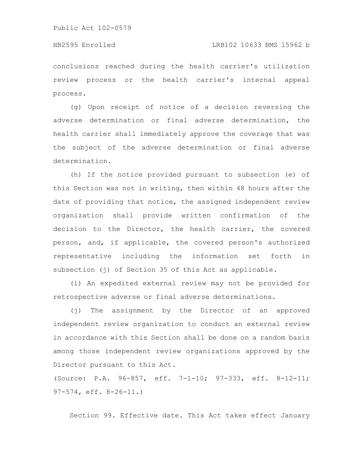# HB2595 Enrolled LRB102 10633 BMS 15962 b

conclusions reached during the health carrier's utilization review process or the health carrier's internal appeal process.

(g) Upon receipt of notice of a decision reversing the adverse determination or final adverse determination, the health carrier shall immediately approve the coverage that was the subject of the adverse determination or final adverse determination.

(h) If the notice provided pursuant to subsection (e) of this Section was not in writing, then within 48 hours after the date of providing that notice, the assigned independent review organization shall provide written confirmation of the decision to the Director, the health carrier, the covered person, and, if applicable, the covered person's authorized representative including the information set forth in subsection (j) of Section 35 of this Act as applicable.

(i) An expedited external review may not be provided for retrospective adverse or final adverse determinations.

(j) The assignment by the Director of an approved independent review organization to conduct an external review in accordance with this Section shall be done on a random basis among those independent review organizations approved by the Director pursuant to this Act.

(Source: P.A. 96-857, eff. 7-1-10; 97-333, eff. 8-12-11; 97-574, eff. 8-26-11.)

Section 99. Effective date. This Act takes effect January